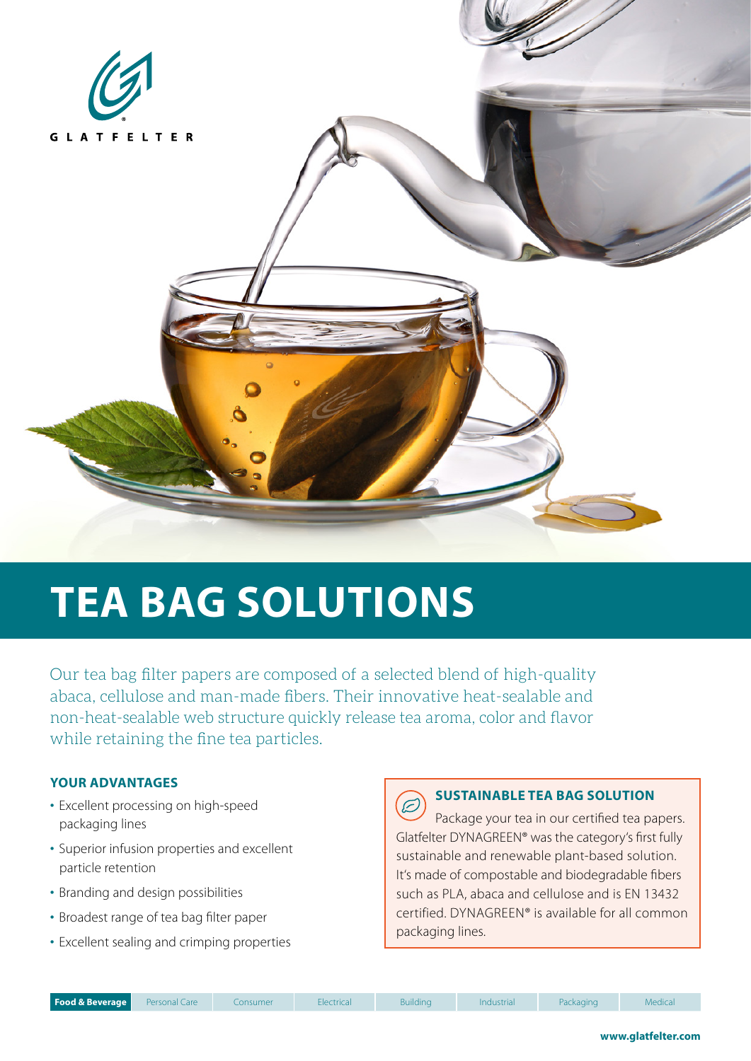

# **TEA BAG SOLUTIONS**

Our tea bag filter papers are composed of a selected blend of high-quality abaca, cellulose and man-made fibers. Their innovative heat-sealable and non-heat-sealable web structure quickly release tea aroma, color and flavor while retaining the fine tea particles.

### **YOUR ADVANTAGES**

- Excellent processing on high-speed packaging lines
- Superior infusion properties and excellent particle retention
- Branding and design possibilities
- Broadest range of tea bag filter paper
- Excellent sealing and crimping properties

### **SUSTAINABLE TEA BAG SOLUTION**

 $\widetilde{\mathcal{Z}}$ Package your tea in our certified tea papers. Glatfelter DYNAGREEN® was the category's first fully sustainable and renewable plant-based solution. It's made of compostable and biodegradable fibers such as PLA, abaca and cellulose and is EN 13432 certified. DYNAGREEN® is available for all common packaging lines.